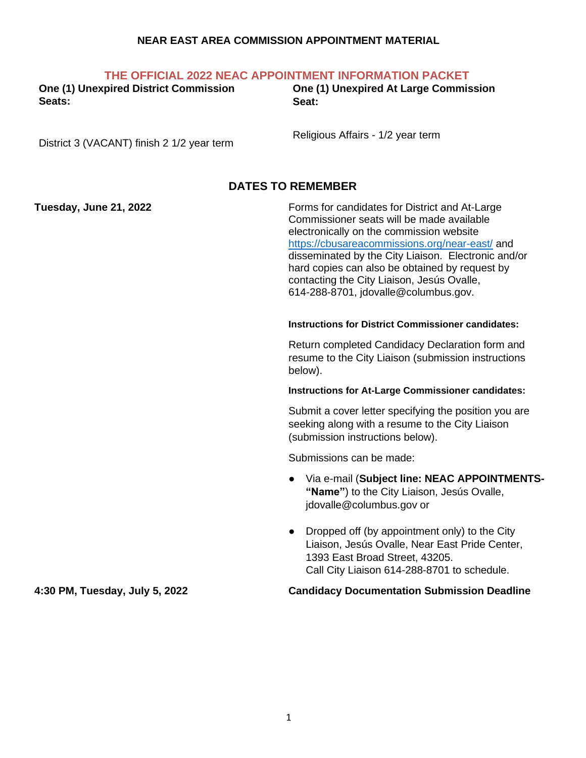#### **NEAR EAST AREA COMMISSION APPOINTMENT MATERIAL**

| THE OFFICIAL 2022 NEAC APPOINTMENT INFORMATION PACKET |  |  |  |  |  |  |  |
|-------------------------------------------------------|--|--|--|--|--|--|--|
|-------------------------------------------------------|--|--|--|--|--|--|--|

**One (1) Unexpired District Commission Seats:** 

**One (1) Unexpired At Large Commission Seat:**

District 3 (VACANT) finish 2 1/2 year term

Religious Affairs - 1/2 year term

## **DATES TO REMEMBER**

**Tuesday, June 21, 2022** Forms for candidates for District and At-Large Commissioner seats will be made available electronically on the commission website <https://cbusareacommissions.org/near-east/> and disseminated by the City Liaison. Electronic and/or hard copies can also be obtained by request by contacting the City Liaison, Jesús Ovalle, 614-288-8701, jdovalle@columbus.gov.

#### **Instructions for District Commissioner candidates:**

Return completed Candidacy Declaration form and resume to the City Liaison (submission instructions below).

#### **Instructions for At-Large Commissioner candidates:**

Submit a cover letter specifying the position you are seeking along with a resume to the City Liaison (submission instructions below).

Submissions can be made:

- Via e-mail (**Subject line: NEAC APPOINTMENTS- "Name"**) to the City Liaison, Jesús Ovalle, jdovalle@columbus.gov or
- Dropped off (by appointment only) to the City Liaison, Jesús Ovalle, Near East Pride Center, 1393 East Broad Street, 43205. Call City Liaison 614-288-8701 to schedule.

#### **4:30 PM, Tuesday, July 5, 2022 Candidacy Documentation Submission Deadline**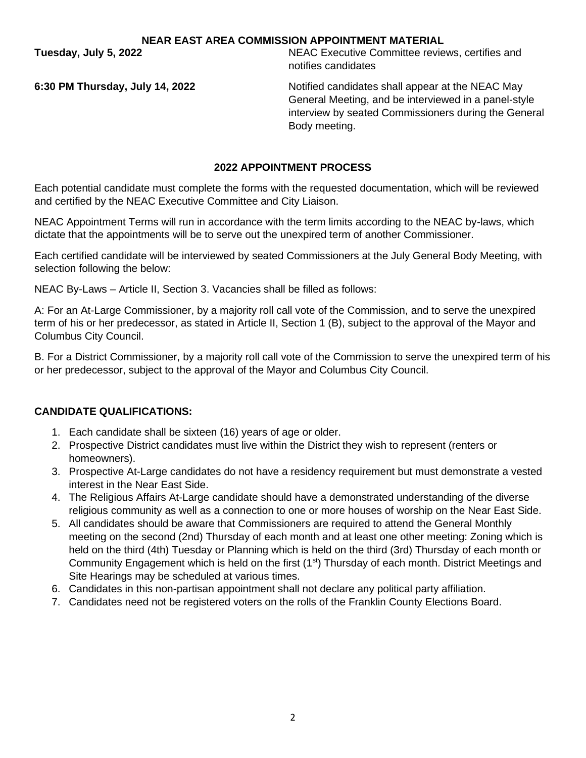**NEAR EAST AREA COMMISSION APPOINTMENT MATERIAL**

**Tuesday, July 5, 2022** NEAC Executive Committee reviews, certifies and notifies candidates

**6:30 PM Thursday, July 14, 2022** Notified candidates shall appear at the NEAC May General Meeting, and be interviewed in a panel-style interview by seated Commissioners during the General Body meeting.

#### **2022 APPOINTMENT PROCESS**

Each potential candidate must complete the forms with the requested documentation, which will be reviewed and certified by the NEAC Executive Committee and City Liaison.

NEAC Appointment Terms will run in accordance with the term limits according to the NEAC by-laws, which dictate that the appointments will be to serve out the unexpired term of another Commissioner.

Each certified candidate will be interviewed by seated Commissioners at the July General Body Meeting, with selection following the below:

NEAC By-Laws – Article II, Section 3. Vacancies shall be filled as follows:

A: For an At-Large Commissioner, by a majority roll call vote of the Commission, and to serve the unexpired term of his or her predecessor, as stated in Article II, Section 1 (B), subject to the approval of the Mayor and Columbus City Council.

B. For a District Commissioner, by a majority roll call vote of the Commission to serve the unexpired term of his or her predecessor, subject to the approval of the Mayor and Columbus City Council.

## **CANDIDATE QUALIFICATIONS:**

- 1. Each candidate shall be sixteen (16) years of age or older.
- 2. Prospective District candidates must live within the District they wish to represent (renters or homeowners).
- 3. Prospective At-Large candidates do not have a residency requirement but must demonstrate a vested interest in the Near East Side.
- 4. The Religious Affairs At-Large candidate should have a demonstrated understanding of the diverse religious community as well as a connection to one or more houses of worship on the Near East Side.
- 5. All candidates should be aware that Commissioners are required to attend the General Monthly meeting on the second (2nd) Thursday of each month and at least one other meeting: Zoning which is held on the third (4th) Tuesday or Planning which is held on the third (3rd) Thursday of each month or Community Engagement which is held on the first (1<sup>st</sup>) Thursday of each month. District Meetings and Site Hearings may be scheduled at various times.
- 6. Candidates in this non-partisan appointment shall not declare any political party affiliation.
- 7. Candidates need not be registered voters on the rolls of the Franklin County Elections Board.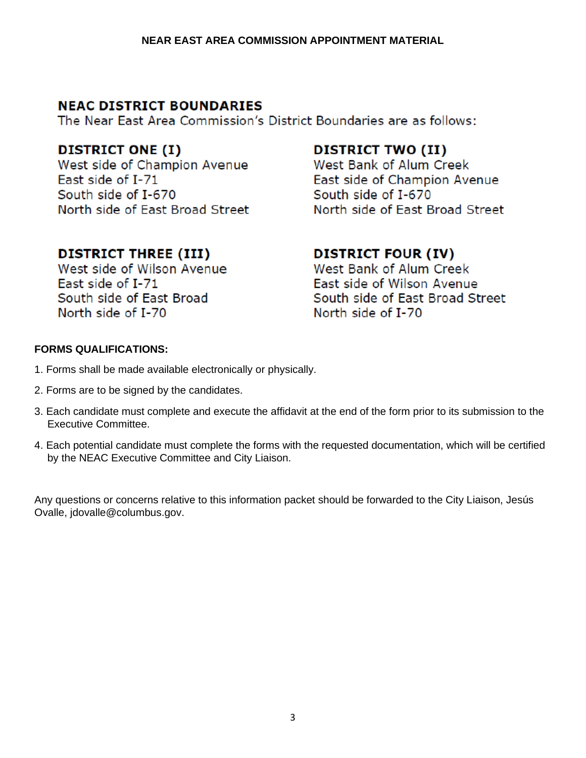# **NEAC DISTRICT BOUNDARIES**

The Near East Area Commission's District Boundaries are as follows:

## **DISTRICT ONE (I)**

West side of Champion Avenue Fast side of I-71 South side of I-670 North side of East Broad Street

# **DISTRICT THREE (III)**

West side of Wilson Avenue East side of I-71 South side of East Broad North side of I-70

## **DISTRICT TWO (II)**

West Bank of Alum Creek East side of Champion Avenue South side of I-670 North side of East Broad Street

# **DISTRICT FOUR (IV)**

West Bank of Alum Creek East side of Wilson Avenue South side of East Broad Street North side of I-70

## **FORMS QUALIFICATIONS:**

- 1. Forms shall be made available electronically or physically.
- 2. Forms are to be signed by the candidates.
- 3. Each candidate must complete and execute the affidavit at the end of the form prior to its submission to the Executive Committee.
- 4. Each potential candidate must complete the forms with the requested documentation, which will be certified by the NEAC Executive Committee and City Liaison.

Any questions or concerns relative to this information packet should be forwarded to the City Liaison, Jesús Ovalle, jdovalle@columbus.gov.